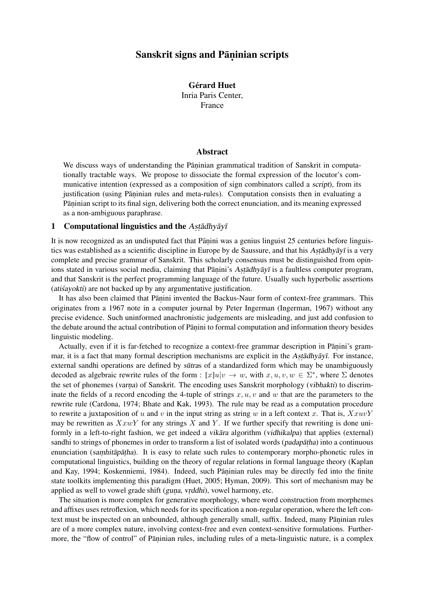# Sanskrit signs and Pāņinian scripts

**Gérard Huet** Inria Paris Center, France

# Abstract

We discuss ways of understanding the Pāṇinian grammatical tradition of Sanskrit in computationally tractable ways. We propose to dissociate the formal expression of the locutor's communicative intention (expressed as a composition of sign combinators called a script), from its justification (using Pāṇinian rules and meta-rules). Computation consists then in evaluating a Pāṇinian script to its final sign, delivering both the correct enunciation, and its meaning expressed as a non-ambiguous paraphrase.

# 1 Computational linguistics and the Astadhyayi

It is now recognized as an undisputed fact that Pāṇini was a genius linguist 25 centuries before linguistics was established as a scientific discipline in Europe by de Saussure, and that his Astadhyayī is a very complete and precise grammar of Sanskrit. This scholarly consensus must be distinguished from opinions stated in various social media, claiming that Pāṇini's Aṣṭādhyāyī is a faultless computer program, and that Sanskrit is the perfect programming language of the future. Usually such hyperbolic assertions  $(a$ tis $a$ yokti) are not backed up by any argumentative justification.

It has also been claimed that Pāṇini invented the Backus-Naur form of context-free grammars. This originates from a 1967 note in a computer journal by Peter Ingerman (Ingerman, 1967) without any precise evidence. Such uninformed anachronistic judgements are misleading, and just add confusion to the debate around the actual contribution of Pāṇini to formal computation and information theory besides linguistic modeling.

Actually, even if it is far-fetched to recognize a context-free grammar description in Pāṇini's grammar, it is a fact that many formal description mechanisms are explicit in the Astadhyayi. For instance, external sandhi operations are defined by *sūtras* of a standardized form which may be unambiguously decoded as algebraic rewrite rules of the form :  $[x]u|v \to w$ , with  $x, u, v, w \in \Sigma^*$ , where  $\Sigma$  denotes the set of phonemes (varna) of Sanskrit. The encoding uses Sanskrit morphology (vibhakti) to discriminate the fields of a record encoding the 4-tuple of strings  $x, u, v$  and w that are the parameters to the rewrite rule (Cardona, 1974; Bhate and Kak, 1993). The rule may be read as a computation procedure to rewrite a juxtaposition of u and v in the input string as string w in a left context x. That is,  $XxuvY$ may be rewritten as  $XxwY$  for any strings X and Y. If we further specify that rewriting is done uniformly in a left-to-right fashion, we get indeed a *vikara* algorithm (*vidhikalpa*) that applies (external) sandhi to strings of phonemes in order to transform a list of isolated words (*padapatha*) into a continuous enunciation (samhitapatha). It is easy to relate such rules to contemporary morpho-phonetic rules in computational linguistics, building on the theory of regular relations in formal language theory (Kaplan and Kay, 1994; Koskenniemi, 1984). Indeed, such Pāṇinian rules may be directly fed into the finite state toolkits implementing this paradigm (Huet, 2005; Hyman, 2009). This sort of mechanism may be applied as well to vowel grade shift (guna, vrddhi), vowel harmony, etc.

The situation is more complex for generative morphology, where word construction from morphemes and affixes uses retroflexion, which needs for its specification a non-regular operation, where the left context must be inspected on an unbounded, although generally small, suffix. Indeed, many Pāṇinian rules are of a more complex nature, involving context-free and even context-sensitive formulations. Furthermore, the "flow of control" of Pāṇinian rules, including rules of a meta-linguistic nature, is a complex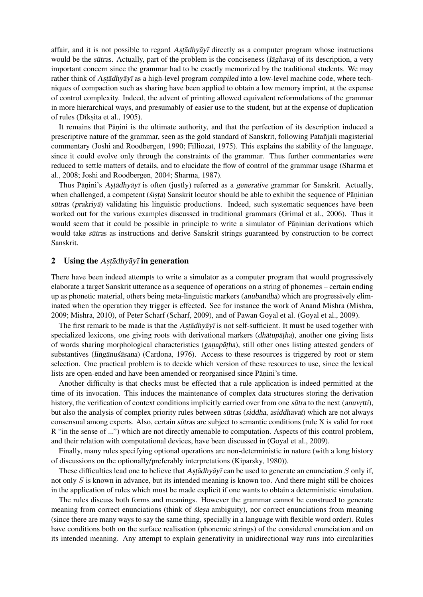affair, and it is not possible to regard Astadhyayi directly as a computer program whose instructions would be the sutras. Actually, part of the problem is the conciseness (*laghava*) of its description, a very important concern since the grammar had to be exactly memorized by the traditional students. We may rather think of Astadhyayī as a high-level program compiled into a low-level machine code, where techniques of compaction such as sharing have been applied to obtain a low memory imprint, at the expense of control complexity. Indeed, the advent of printing allowed equivalent reformulations of the grammar in more hierarchical ways, and presumably of easier use to the student, but at the expense of duplication of rules (Dīkṣita et al., 1905).

It remains that Pāṇini is the ultimate authority, and that the perfection of its description induced a prescriptive nature of the grammar, seen as the gold standard of Sanskrit, following Patañjali magisterial commentary (Joshi and Roodbergen, 1990; Filliozat, 1975). This explains the stability of the language, since it could evolve only through the constraints of the grammar. Thus further commentaries were reduced to settle matters of details, and to elucidate the flow of control of the grammar usage (Sharma et al., 2008; Joshi and Roodbergen, 2004; Sharma, 1987).

Thus Pāṇini's Aṣṭādhyāyī is often (justly) referred as a generative grammar for Sanskrit. Actually, when challenged, a competent (*sista*) Sanskrit locutor should be able to exhibit the sequence of Pāṇinian sūtras (prakriyā) validating his linguistic productions. Indeed, such systematic sequences have been worked out for the various examples discussed in traditional grammars (Grimal et al., 2006). Thus it would seem that it could be possible in principle to write a simulator of Pāṇinian derivations which would take sutras as instructions and derive Sanskrit strings guaranteed by construction to be correct Sanskrit.

# 2 Using the  $A$ s *tādhyāy* $\overline{\imath}$  in generation

There have been indeed attempts to write a simulator as a computer program that would progressively elaborate a target Sanskrit utterance as a sequence of operations on a string of phonemes – certain ending up as phonetic material, others being meta-linguistic markers (anubandha) which are progressively eliminated when the operation they trigger is effected. See for instance the work of Anand Mishra (Mishra, 2009; Mishra, 2010), of Peter Scharf (Scharf, 2009), and of Pawan Goyal et al. (Goyal et al., 2009).

The first remark to be made is that the Astadhyayi is not self-sufficient. It must be used together with specialized lexicons, one giving roots with derivational markers (dhatup atha), another one giving lists of words sharing morphological characteristics (ganapātha), still other ones listing attested genders of substantives (*lingānu šāsana*) (Cardona, 1976). Access to these resources is triggered by root or stem selection. One practical problem is to decide which version of these resources to use, since the lexical lists are open-ended and have been amended or reorganised since Pāṇini's time.

Another difficulty is that checks must be effected that a rule application is indeed permitted at the time of its invocation. This induces the maintenance of complex data structures storing the derivation history, the verification of context conditions implicitly carried over from one sutra to the next (anuvrtti), but also the analysis of complex priority rules between sutras (siddha, asiddhavat) which are not always consensual among experts. Also, certain sūtras are subject to semantic conditions (rule X is valid for root R "in the sense of ...") which are not directly amenable to computation. Aspects of this control problem, and their relation with computational devices, have been discussed in (Goyal et al., 2009).

Finally, many rules specifying optional operations are non-deterministic in nature (with a long history of discussions on the optionally/preferably interpretations (Kiparsky, 1980)).

These difficulties lead one to believe that  $A$ stan de used to generate an enunciation  $S$  only if, not only  $S$  is known in advance, but its intended meaning is known too. And there might still be choices in the application of rules which must be made explicit if one wants to obtain a deterministic simulation.

The rules discuss both forms and meanings. However the grammar cannot be construed to generate meaning from correct enunciations (think of *ślesa* ambiguity), nor correct enunciations from meaning (since there are many ways to say the same thing, specially in a language with flexible word order). Rules have conditions both on the surface realisation (phonemic strings) of the considered enunciation and on its intended meaning. Any attempt to explain generativity in unidirectional way runs into circularities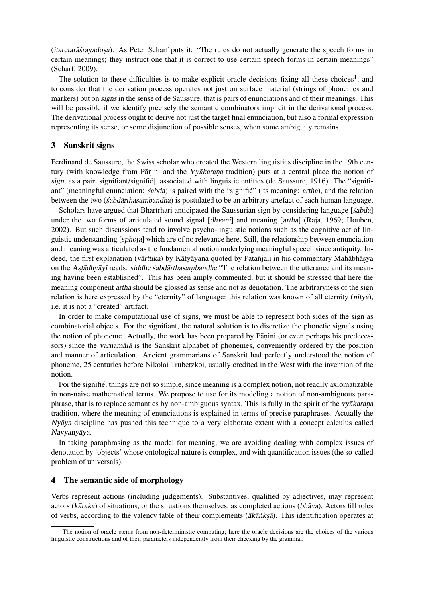(itaretarāśrayadosa). As Peter Scharf puts it: "The rules do not actually generate the speech forms in certain meanings; they instruct one that it is correct to use certain speech forms in certain meanings" (Scharf, 2009).

The solution to these difficulties is to make explicit oracle decisions fixing all these choices<sup>1</sup>, and to consider that the derivation process operates not just on surface material (strings of phonemes and markers) but on signs in the sense of de Saussure, that is pairs of enunciations and of their meanings. This will be possible if we identify precisely the semantic combinators implicit in the derivational process. The derivational process ought to derive not just the target final enunciation, but also a formal expression representing its sense, or some disjunction of possible senses, when some ambiguity remains.

# 3 Sanskrit signs

Ferdinand de Saussure, the Swiss scholar who created the Western linguistics discipline in the 19th century (with knowledge from Pāṇini and the Vyākaraṇa tradition) puts at a central place the notion of sign, as a pair  $[signifiant/signiff]$  associated with linguistic entities (de Saussure, 1916). The "signifiant" (meaningful enunciation:  $\leq$ abda) is paired with the "signifie" (its meaning:  $artha$ ), and the relation between the two (*sabdarthasambandha*) is postulated to be an arbitrary artefact of each human language.

Scholars have argued that Bhartrhari anticipated the Saussurian sign by considering language [sabda] under the two forms of articulated sound signal [dhvani] and meaning [artha] (Raja, 1969; Houben, 2002). But such discussions tend to involve psycho-linguistic notions such as the cognitive act of linguistic understanding [sphota] which are of no relevance here. Still, the relationship between enunciation and meaning was articulated as the fundamental notion underlying meaningful speech since antiquity. Indeed, the first explanation (vārttika) by Kātyāyana quoted by Patañjali in his commentary Mahābhāsya on the Astadhyayī reads: siddhe sabdarthasambandhe "The relation between the utterance and its meaning having been established". This has been amply commented, but it should be stressed that here the meaning component artha should be glossed as sense and not as denotation. The arbitraryness of the sign relation is here expressed by the "eternity" of language: this relation was known of all eternity (nitya), i.e. it is not a "created" artifact.

In order to make computational use of signs, we must be able to represent both sides of the sign as combinatorial objects. For the signifiant, the natural solution is to discretize the phonetic signals using the notion of phoneme. Actually, the work has been prepared by Pāṇini (or even perhaps his predecessors) since the varnamala is the Sanskrit alphabet of phonemes, conveniently ordered by the position and manner of articulation. Ancient grammarians of Sanskrit had perfectly understood the notion of phoneme, 25 centuries before Nikolai Trubetzkoi, usually credited in the West with the invention of the notion.

For the signifie, things are not so simple, since meaning is a complex notion, not readily axiomatizable in non-naive mathematical terms. We propose to use for its modeling a notion of non-ambiguous paraphrase, that is to replace semantics by non-ambiguous syntax. This is fully in the spirit of the *vyakarana* tradition, where the meaning of enunciations is explained in terms of precise paraphrases. Actually the Nyaya discipline has pushed this technique to a very elaborate extent with a concept calculus called Navyanyāya.

In taking paraphrasing as the model for meaning, we are avoiding dealing with complex issues of denotation by 'objects' whose ontological nature is complex, and with quantification issues (the so-called problem of universals).

# 4 The semantic side of morphology

Verbs represent actions (including judgements). Substantives, qualified by adjectives, may represent actors (kāraka) of situations, or the situations themselves, as completed actions (bhava). Actors fill roles of verbs, according to the valency table of their complements ( $\bar{a}k\bar{a}nks\bar{a}$ ). This identification operates at

<sup>&</sup>lt;sup>1</sup>The notion of oracle stems from non-deterministic computing; here the oracle decisions are the choices of the various linguistic constructions and of their parameters independently from their checking by the grammar.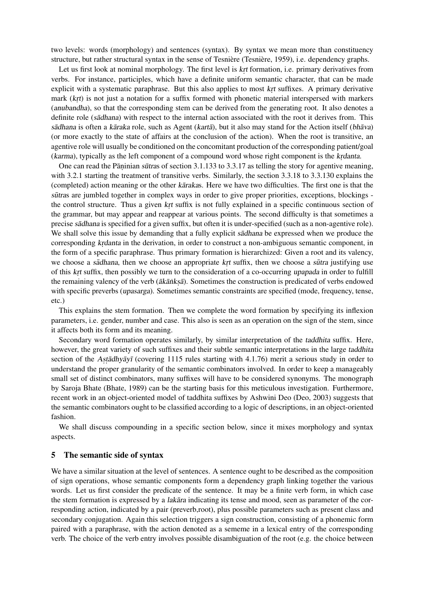two levels: words (morphology) and sentences (syntax). By syntax we mean more than constituency structure, but rather structural syntax in the sense of Tesnière (Tesnière, 1959), i.e. dependency graphs.

Let us first look at nominal morphology. The first level is krt formation, i.e. primary derivatives from verbs. For instance, participles, which have a definite uniform semantic character, that can be made explicit with a systematic paraphrase. But this also applies to most krt suffixes. A primary derivative mark (krt) is not just a notation for a suffix formed with phonetic material interspersed with markers (anubandha), so that the corresponding stem can be derived from the generating root. It also denotes a definite role (sadhana) with respect to the internal action associated with the root it derives from. This sādhana is often a kāraka role, such as Agent (kartā), but it also may stand for the Action itself (bhāva) (or more exactly to the state of affairs at the conclusion of the action). When the root is transitive, an agentive role will usually be conditioned on the concomitant production of the corresponding patient/goal (karma), typically as the left component of a compound word whose right component is the krdanta.

One can read the Pāṇinian sūtras of section 3.1.133 to 3.3.17 as telling the story for agentive meaning, with 3.2.1 starting the treatment of transitive verbs. Similarly, the section 3.3.18 to 3.3.130 explains the (completed) action meaning or the other karakas. Here we have two difficulties. The first one is that the sūtras are jumbled together in complex ways in order to give proper priorities, exceptions, blockings the control structure. Thus a given krt suffix is not fully explained in a specific continuous section of the grammar, but may appear and reappear at various points. The second difficulty is that sometimes a precise sadhana is specified for a given suffix, but often it is under-specified (such as a non-agentive role). We shall solve this issue by demanding that a fully explicit sadhana be expressed when we produce the corresponding krdanta in the derivation, in order to construct a non-ambiguous semantic component, in the form of a specific paraphrase. Thus primary formation is hierarchized: Given a root and its valency, we choose a sādhana, then we choose an appropriate krt suffix, then we choose a sūtra justifying use of this krt suffix, then possibly we turn to the consideration of a co-occurring upapada in order to fulfill the remaining valency of the verb ( $\bar{a}k\bar{a}nks\bar{a}$ ). Sometimes the construction is predicated of verbs endowed with specific preverbs (upasarga). Sometimes semantic constraints are specified (mode, frequency, tense, etc.)

This explains the stem formation. Then we complete the word formation by specifying its inflexion parameters, i.e. gender, number and case. This also is seen as an operation on the sign of the stem, since it affects both its form and its meaning.

Secondary word formation operates similarly, by similar interpretation of the taddhita suffix. Here, however, the great variety of such suffixes and their subtle semantic interpretations in the large taddhita section of the Astadhyayī (covering 1115 rules starting with 4.1.76) merit a serious study in order to understand the proper granularity of the semantic combinators involved. In order to keep a manageably small set of distinct combinators, many suffixes will have to be considered synonyms. The monograph by Saroja Bhate (Bhate, 1989) can be the starting basis for this meticulous investigation. Furthermore, recent work in an object-oriented model of taddhita suffixes by Ashwini Deo (Deo, 2003) suggests that the semantic combinators ought to be classified according to a logic of descriptions, in an object-oriented fashion.

We shall discuss compounding in a specific section below, since it mixes morphology and syntax aspects.

# 5 The semantic side of syntax

We have a similar situation at the level of sentences. A sentence ought to be described as the composition of sign operations, whose semantic components form a dependency graph linking together the various words. Let us first consider the predicate of the sentence. It may be a finite verb form, in which case the stem formation is expressed by a *lakara* indicating its tense and mood, seen as parameter of the corresponding action, indicated by a pair (preverb,root), plus possible parameters such as present class and secondary conjugation. Again this selection triggers a sign construction, consisting of a phonemic form paired with a paraphrase, with the action denoted as a sememe in a lexical entry of the corresponding verb. The choice of the verb entry involves possible disambiguation of the root (e.g. the choice between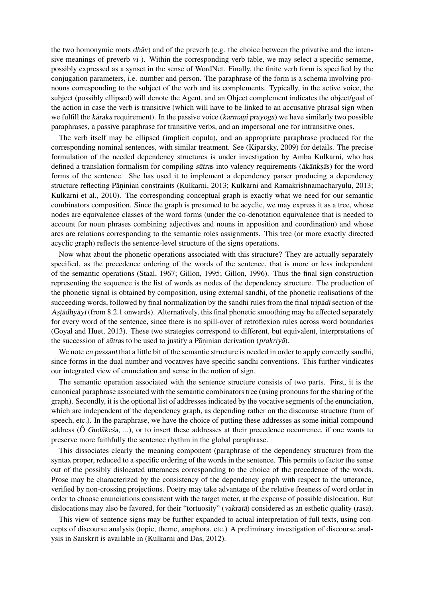the two homonymic roots  $dh\bar{a}v$  and of the preverb (e.g. the choice between the privative and the intensive meanings of preverb vi-). Within the corresponding verb table, we may select a specific sememe, possibly expressed as a synset in the sense of WordNet. Finally, the finite verb form is specified by the conjugation parameters, i.e. number and person. The paraphrase of the form is a schema involving pronouns corresponding to the subject of the verb and its complements. Typically, in the active voice, the subject (possibly ellipsed) will denote the Agent, and an Object complement indicates the object/goal of the action in case the verb is transitive (which will have to be linked to an accusative phrasal sign when we fulfill the kāraka requirement). In the passive voice (karmani prayoga) we have similarly two possible paraphrases, a passive paraphrase for transitive verbs, and an impersonal one for intransitive ones.

The verb itself may be ellipsed (implicit copula), and an appropriate paraphrase produced for the corresponding nominal sentences, with similar treatment. See (Kiparsky, 2009) for details. The precise formulation of the needed dependency structures is under investigation by Amba Kulkarni, who has defined a translation formalism for compiling sūtras into valency requirements (ākānksās) for the word forms of the sentence. She has used it to implement a dependency parser producing a dependency structure reflecting Pāṇinian constraints (Kulkarni, 2013; Kulkarni and Ramakrishnamacharyulu, 2013; Kulkarni et al., 2010). The corresponding conceptual graph is exactly what we need for our semantic combinators composition. Since the graph is presumed to be acyclic, we may express it as a tree, whose nodes are equivalence classes of the word forms (under the co-denotation equivalence that is needed to account for noun phrases combining adjectives and nouns in apposition and coordination) and whose arcs are relations corresponding to the semantic roles assignments. This tree (or more exactly directed acyclic graph) reflects the sentence-level structure of the signs operations.

Now what about the phonetic operations associated with this structure? They are actually separately specified, as the precedence ordering of the words of the sentence, that is more or less independent of the semantic operations (Staal, 1967; Gillon, 1995; Gillon, 1996). Thus the final sign construction representing the sequence is the list of words as nodes of the dependency structure. The production of the phonetic signal is obtained by composition, using external sandhi, of the phonetic realisations of the succeeding words, followed by final normalization by the sandhi rules from the final *tripad* section of the Astadhya y i (from 8.2.1 onwards). Alternatively, this final phonetic smoothing may be effected separately for every word of the sentence, since there is no spill-over of retroflexion rules across word boundaries (Goyal and Huet, 2013). These two strategies correspond to different, but equivalent, interpretations of the succession of sutras to be used to justify a Paninian derivation (prakriya).

We note en passant that a little bit of the semantic structure is needed in order to apply correctly sandhi, since forms in the dual number and vocatives have specific sandhi conventions. This further vindicates our integrated view of enunciation and sense in the notion of sign.

The semantic operation associated with the sentence structure consists of two parts. First, it is the canonical paraphrase associated with the semantic combinators tree (using pronouns for the sharing of the graph). Secondly, it is the optional list of addresses indicated by the vocative segments of the enunciation, which are independent of the dependency graph, as depending rather on the discourse structure (turn of speech, etc.). In the paraphrase, we have the choice of putting these addresses as some initial compound address (Ô Gudākesa, ...), or to insert these addresses at their precedence occurrence, if one wants to preserve more faithfully the sentence rhythm in the global paraphrase.

This dissociates clearly the meaning component (paraphrase of the dependency structure) from the syntax proper, reduced to a specific ordering of the words in the sentence. This permits to factor the sense out of the possibly dislocated utterances corresponding to the choice of the precedence of the words. Prose may be characterized by the consistency of the dependency graph with respect to the utterance, verified by non-crossing projections. Poetry may take advantage of the relative freeness of word order in order to choose enunciations consistent with the target meter, at the expense of possible dislocation. But dislocations may also be favored, for their "tortuosity" (vakratā) considered as an esthetic quality (rasa).

This view of sentence signs may be further expanded to actual interpretation of full texts, using concepts of discourse analysis (topic, theme, anaphora, etc.) A preliminary investigation of discourse analysis in Sanskrit is available in (Kulkarni and Das, 2012).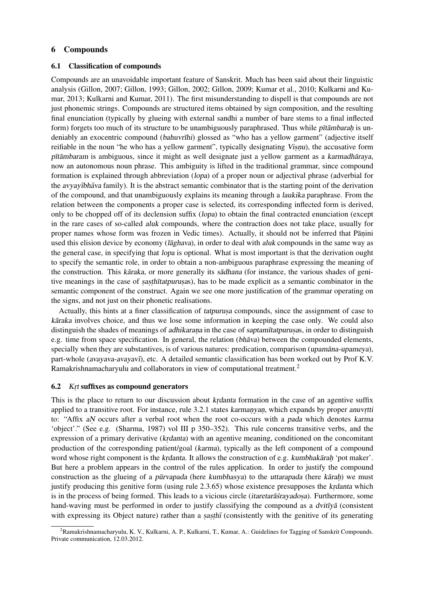# 6 Compounds

### 6.1 Classification of compounds

Compounds are an unavoidable important feature of Sanskrit. Much has been said about their linguistic analysis (Gillon, 2007; Gillon, 1993; Gillon, 2002; Gillon, 2009; Kumar et al., 2010; Kulkarni and Kumar, 2013; Kulkarni and Kumar, 2011). The first misunderstanding to dispell is that compounds are not just phonemic strings. Compounds are structured items obtained by sign composition, and the resulting final enunciation (typically by glueing with external sandhi a number of bare stems to a final inflected form) forgets too much of its structure to be unambiguously paraphrased. Thus while pītāmbarah is undeniably an exocentric compound (bahuvrīhi) glossed as "who has a yellow garment" (adjective itself reifiable in the noun "he who has a yellow garment", typically designating Visnu), the accusative form pītāmbaram is ambiguous, since it might as well designate just a yellow garment as a karmadhāraya, now an autonomous noun phrase. This ambiguity is lifted in the traditional grammar, since compound formation is explained through abbreviation (lopa) of a proper noun or adjectival phrase (adverbial for the avvav<sub>I</sub>bhava family). It is the abstract semantic combinator that is the starting point of the derivation of the compound, and that unambiguously explains its meaning through a laukika paraphrase. From the relation between the components a proper case is selected, its corresponding inflected form is derived, only to be chopped off of its declension suffix (lopa) to obtain the final contracted enunciation (except in the rare cases of so-called aluk compounds, where the contraction does not take place, usually for proper names whose form was frozen in Vedic times). Actually, it should not be inferred that Pāṇini used this elision device by economy ( $l\bar{a}ghava$ ), in order to deal with *aluk* compounds in the same way as the general case, in specifying that lopa is optional. What is most important is that the derivation ought to specify the semantic role, in order to obtain a non-ambiguous paraphrase expressing the meaning of the construction. This kāraka, or more generally its sādhana (for instance, the various shades of genitive meanings in the case of sasthitatpurusas), has to be made explicit as a semantic combinator in the semantic component of the construct. Again we see one more justification of the grammar operating on the signs, and not just on their phonetic realisations.

Actually, this hints at a finer classification of tatpurusa compounds, since the assignment of case to karaka involves choice, and thus we lose some information in keeping the case only. We could also distinguish the shades of meanings of adhikarana in the case of saptamītatpurusas, in order to distinguish e.g. time from space specification. In general, the relation ( $bh\bar{a}va$ ) between the compounded elements, specially when they are substantives, is of various natures: predication, comparison (upamana-upameya), part-whole (avayava-avayavī), etc. A detailed semantic classification has been worked out by Prof K.V. Ramakrishnamacharyulu and collaborators in view of computational treatment.<sup>2</sup>

# 6.2 K<sub>I</sub>t suffixes as compound generators

This is the place to return to our discussion about *krdanta* formation in the case of an agentive suffix applied to a transitive root. For instance, rule 3.2.1 states karmanyan, which expands by proper anuvrtti to: "Affix aN occurs after a verbal root when the root co-occurs with a pada which denotes karma 'object'." (See e.g. (Sharma, 1987) vol III p 350–352). This rule concerns transitive verbs, and the expression of a primary derivative (*krdanta*) with an agentive meaning, conditioned on the concomitant production of the corresponding patient/goal (karma), typically as the left component of a compound word whose right component is the krdanta. It allows the construction of e.g. kumbhakarah 'pot maker'. But here a problem appears in the control of the rules application. In order to justify the compound construction as the glueing of a pūrvapada (here kumbhasya) to the uttarapada (here kāraḥ) we must justify producing this genitive form (using rule  $2.3.65$ ) whose existence presupposes the *krdanta* which is in the process of being formed. This leads to a vicious circle (itaretarāsrayadosa). Furthermore, some hand-waving must be performed in order to justify classifying the compound as a dvitīya (consistent with expressing its Object nature) rather than a sasthar (consistently with the genitive of its generating

<sup>&</sup>lt;sup>2</sup>Ramakrishnamacharyulu, K. V., Kulkarni, A. P., Kulkarni, T., Kumar, A.: Guidelines for Tagging of Sanskrit Compounds. Private communication, 12.03.2012.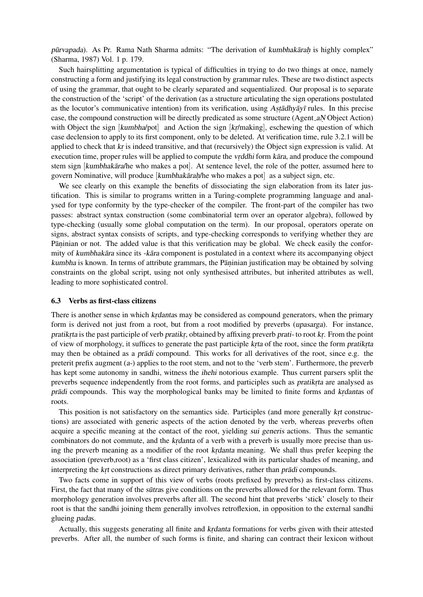pūrvapada). As Pr. Rama Nath Sharma admits: "The derivation of kumbhakāraḥ is highly complex" (Sharma, 1987) Vol. 1 p. 179.

Such hairsplitting argumentation is typical of difficulties in trying to do two things at once, namely constructing a form and justifying its legal construction by grammar rules. These are two distinct aspects of using the grammar, that ought to be clearly separated and sequentialized. Our proposal is to separate the construction of the 'script' of the derivation (as a structure articulating the sign operations postulated as the locutor's communicative intention) from its verification, using Astadhyayī rules. In this precise case, the compound construction will be directly predicated as some structure (Agent *aN* Object Action) with Object the sign [kumbha/pot] and Action the sign [kr/making], eschewing the question of which case declension to apply to its first component, only to be deleted. At verification time, rule 3.2.1 will be applied to check that kr is indeed transitive, and that (recursively) the Object sign expression is valid. At execution time, proper rules will be applied to compute the *vrddhi* form *kara*, and produce the compound stem sign [kumbhakara/he who makes a pot]. At sentence level, the role of the potter, assumed here to govern Nominative, will produce [kumbhakāraḥ/he who makes a pot] as a subject sign, etc.

We see clearly on this example the benefits of dissociating the sign elaboration from its later justification. This is similar to programs written in a Turing-complete programming language and analysed for type conformity by the type-checker of the compiler. The front-part of the compiler has two passes: abstract syntax construction (some combinatorial term over an operator algebra), followed by type-checking (usually some global computation on the term). In our proposal, operators operate on signs, abstract syntax consists of scripts, and type-checking corresponds to verifying whether they are Pāṇinian or not. The added value is that this verification may be global. We check easily the conformity of kumbhakara since its -kara component is postulated in a context where its accompanying object kumbha is known. In terms of attribute grammars, the Pāṇinian justification may be obtained by solving constraints on the global script, using not only synthesised attributes, but inherited attributes as well, leading to more sophisticated control.

### 6.3 Verbs as first-class citizens

There is another sense in which krdantas may be considered as compound generators, when the primary form is derived not just from a root, but from a root modified by preverbs (upasarga). For instance, pratikrta is the past participle of verb pratikr, obtained by affixing preverb prati- to root kr. From the point of view of morphology, it suffices to generate the past participle krta of the root, since the form pratikrta may then be obtained as a *pradi* compound. This works for all derivatives of the root, since e.g. the preterit prefix augment  $(a)$ -) applies to the root stem, and not to the 'verb stem'. Furthermore, the preverb has kept some autonomy in sandhi, witness the ihehi notorious example. Thus current parsers split the preverbs sequence independently from the root forms, and participles such as pratikita are analysed as pradi compounds. This way the morphological banks may be limited to finite forms and krdantas of roots.

This position is not satisfactory on the semantics side. Participles (and more generally krt constructions) are associated with generic aspects of the action denoted by the verb, whereas preverbs often acquire a specific meaning at the contact of the root, yielding sui generis actions. Thus the semantic combinators do not commute, and the *krdanta* of a verb with a preverb is usually more precise than using the preverb meaning as a modifier of the root krdanta meaning. We shall thus prefer keeping the association (preverb,root) as a 'first class citizen', lexicalized with its particular shades of meaning, and interpreting the krt constructions as direct primary derivatives, rather than pradi compounds.

Two facts come in support of this view of verbs (roots prefixed by preverbs) as first-class citizens. First, the fact that many of the *sutras* give conditions on the preverbs allowed for the relevant form. Thus morphology generation involves preverbs after all. The second hint that preverbs 'stick' closely to their root is that the sandhi joining them generally involves retroflexion, in opposition to the external sandhi glueing padas.

Actually, this suggests generating all finite and *krdanta* formations for verbs given with their attested preverbs. After all, the number of such forms is finite, and sharing can contract their lexicon without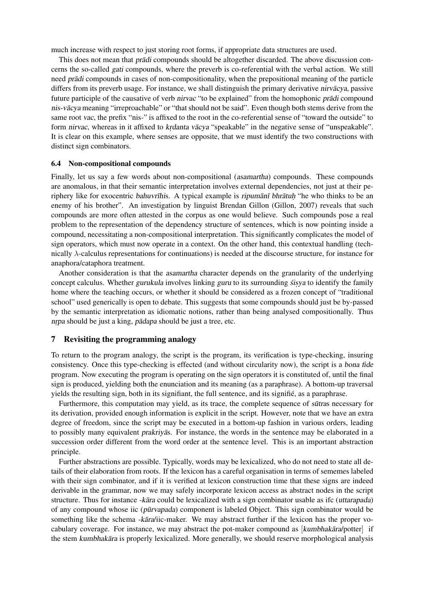much increase with respect to just storing root forms, if appropriate data structures are used.

This does not mean that *pradi* compounds should be altogether discarded. The above discussion concerns the so-called gati compounds, where the preverb is co-referential with the verbal action. We still need pradi compounds in cases of non-compositionality, when the prepositional meaning of the particle differs from its preverb usage. For instance, we shall distinguish the primary derivative nirvācya, passive future participle of the causative of verb nirvac "to be explained" from the homophonic pradi compound nis-vācya meaning "irreproachable" or "that should not be said". Even though both stems derive from the same root vac, the prefix "nis-" is affixed to the root in the co-referential sense of "toward the outside" to form nirvac, whereas in it affixed to krdanta vācya "speakable" in the negative sense of "unspeakable". It is clear on this example, where senses are opposite, that we must identify the two constructions with distinct sign combinators.

### 6.4 Non-compositional compounds

Finally, let us say a few words about non-compositional (asamartha) compounds. These compounds are anomalous, in that their semantic interpretation involves external dependencies, not just at their periphery like for exocentric bahuvrīhis. A typical example is ripumanī bhratuh "he who thinks to be an enemy of his brother". An investigation by linguist Brendan Gillon (Gillon, 2007) reveals that such compounds are more often attested in the corpus as one would believe. Such compounds pose a real problem to the representation of the dependency structure of sentences, which is now pointing inside a compound, necessitating a non-compositional interpretation. This significantly complicates the model of sign operators, which must now operate in a context. On the other hand, this contextual handling (technically  $\lambda$ -calculus representations for continuations) is needed at the discourse structure, for instance for anaphora/cataphora treatment.

Another consideration is that the asamartha character depends on the granularity of the underlying concept calculus. Whether gurukula involves linking guru to its surrounding *sisya* to identify the family home where the teaching occurs, or whether it should be considered as a frozen concept of "traditional school" used generically is open to debate. This suggests that some compounds should just be by-passed by the semantic interpretation as idiomatic notions, rather than being analysed compositionally. Thus nrpa should be just a king, padapa should be just a tree, etc.

# 7 Revisiting the programming analogy

To return to the program analogy, the script is the program, its verification is type-checking, insuring consistency. Once this type-checking is effected (and without circularity now), the script is a bona fide program. Now executing the program is operating on the sign operators it is constituted of, until the final sign is produced, yielding both the enunciation and its meaning (as a paraphrase). A bottom-up traversal yields the resulting sign, both in its signifiant, the full sentence, and its signifie, as a paraphrase. ´

Furthermore, this computation may yield, as its trace, the complete sequence of *sūtras* necessary for its derivation, provided enough information is explicit in the script. However, note that we have an extra degree of freedom, since the script may be executed in a bottom-up fashion in various orders, leading to possibly many equivalent *prakriya*s. For instance, the words in the sentence may be elaborated in a succession order different from the word order at the sentence level. This is an important abstraction principle.

Further abstractions are possible. Typically, words may be lexicalized, who do not need to state all details of their elaboration from roots. If the lexicon has a careful organisation in terms of sememes labeled with their sign combinator, and if it is verified at lexicon construction time that these signs are indeed derivable in the grammar, now we may safely incorporate lexicon access as abstract nodes in the script structure. Thus for instance -kara could be lexicalized with a sign combinator usable as ifc (uttarapada) of any compound whose iic (pūrvapada) component is labeled Object. This sign combinator would be something like the schema -kara/iic-maker. We may abstract further if the lexicon has the proper vocabulary coverage. For instance, we may abstract the pot-maker compound as  $\kappa$   $\kappa$  /potter  $\kappa$  if the stem kumbhakara is properly lexicalized. More generally, we should reserve morphological analysis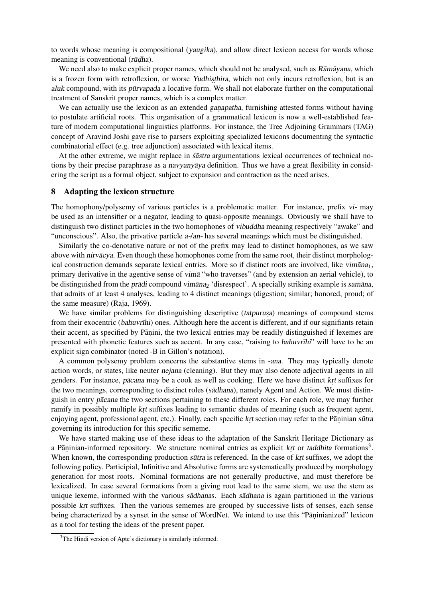to words whose meaning is compositional (yaugika), and allow direct lexicon access for words whose meaning is conventional (rūdha).

We need also to make explicit proper names, which should not be analysed, such as Rāmāyana, which is a frozen form with retroflexion, or worse Yudhisthira, which not only incurs retroflexion, but is an aluk compound, with its pūrvapada a locative form. We shall not elaborate further on the computational treatment of Sanskrit proper names, which is a complex matter.

We can actually use the lexicon as an extended *ganapatha*, furnishing attested forms without having to postulate artificial roots. This organisation of a grammatical lexicon is now a well-established feature of modern computational linguistics platforms. For instance, the Tree Adjoining Grammars (TAG) concept of Aravind Joshi gave rise to parsers exploiting specialized lexicons documenting the syntactic combinatorial effect (e.g. tree adjunction) associated with lexical items.

At the other extreme, we might replace in *scastra* argumentations lexical occurrences of technical notions by their precise paraphrase as a navyanyaya definition. Thus we have a great flexibility in considering the script as a formal object, subject to expansion and contraction as the need arises.

### 8 Adapting the lexicon structure

The homophony/polysemy of various particles is a problematic matter. For instance, prefix vi- may be used as an intensifier or a negator, leading to quasi-opposite meanings. Obviously we shall have to distinguish two distinct particles in the two homophones of vibuddha meaning respectively "awake" and "unconscious". Also, the privative particle a-/an- has several meanings which must be distinguished.

Similarly the co-denotative nature or not of the prefix may lead to distinct homophones, as we saw above with *nirvacya*. Even though these homophones come from the same root, their distinct morphological construction demands separate lexical entries. More so if distinct roots are involved, like  $v_{\text{im}}\bar{a}_{\text{nn}}$ , primary derivative in the agentive sense of vima "who traverses" (and by extension an aerial vehicle), to be distinguished from the *pradi* compound vimana, 'disrespect'. A specially striking example is samana, that admits of at least 4 analyses, leading to 4 distinct meanings (digestion; similar; honored, proud; of the same measure) (Raja, 1969).

We have similar problems for distinguishing descriptive (tatpurusa) meanings of compound stems from their exocentric (bahuvrīhi) ones. Although here the accent is different, and if our signifiants retain their accent, as specified by Pāṇini, the two lexical entries may be readily distinguished if lexemes are presented with phonetic features such as accent. In any case, "raising to bahuvrīhi" will have to be an explicit sign combinator (noted -B in Gillon's notation).

A common polysemy problem concerns the substantive stems in -ana. They may typically denote action words, or states, like neuter nejana (cleaning). But they may also denote adjectival agents in all genders. For instance, pācana may be a cook as well as cooking. Here we have distinct krt suffixes for the two meanings, corresponding to distinct roles (sadhana), namely Agent and Action. We must distinguish in entry pacana the two sections pertaining to these different roles. For each role, we may further ramify in possibly multiple krt suffixes leading to semantic shades of meaning (such as frequent agent, enjoying agent, professional agent, etc.). Finally, each specific krt section may refer to the Pāṇinian sūtra governing its introduction for this specific sememe.

We have started making use of these ideas to the adaptation of the Sanskrit Heritage Dictionary as a Pāṇinian-informed repository. We structure nominal entries as explicit krt or taddhita formations<sup>3</sup>. When known, the corresponding production sūtra is referenced. In the case of krt suffixes, we adopt the following policy. Participial, Infinitive and Absolutive forms are systematically produced by morphology generation for most roots. Nominal formations are not generally productive, and must therefore be lexicalized. In case several formations from a giving root lead to the same stem, we use the stem as unique lexeme, informed with the various sadhanas. Each sadhana is again partitioned in the various possible krt suffixes. Then the various sememes are grouped by successive lists of senses, each sense being characterized by a synset in the sense of WordNet. We intend to use this "Pāninianized" lexicon as a tool for testing the ideas of the present paper.

<sup>&</sup>lt;sup>3</sup>The Hindi version of Apte's dictionary is similarly informed.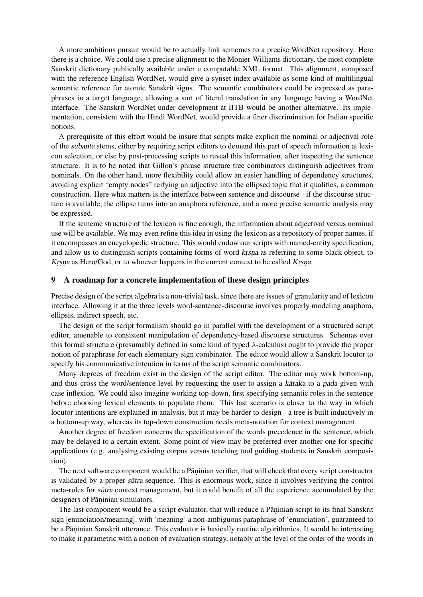A more ambitious pursuit would be to actually link sememes to a precise WordNet repository. Here there is a choice. We could use a precise alignment to the Monier-Williams dictionary, the most complete Sanskrit dictionary publically available under a computable XML format. This alignment, composed with the reference English WordNet, would give a synset index available as some kind of multilingual semantic reference for atomic Sanskrit signs. The semantic combinators could be expressed as paraphrases in a target language, allowing a sort of literal translation in any language having a WordNet interface. The Sanskrit WordNet under development at IITB would be another alternative. Its implementation, consistent with the Hindi WordNet, would provide a finer discrimination for Indian specific notions.

A prerequisite of this effort would be insure that scripts make explicit the nominal or adjectival role of the subanta stems, either by requiring script editors to demand this part of speech information at lexicon selection, or else by post-processing scripts to reveal this information, after inspecting the sentence structure. It is to be noted that Gillon's phrase structure tree combinators distinguish adjectives from nominals. On the other hand, more flexibility could allow an easier handling of dependency structures, avoiding explicit "empty nodes" reifying an adjective into the ellipsed topic that it qualifies, a common construction. Here what matters is the interface between sentence and discourse - if the discourse structure is available, the ellipse turns into an anaphora reference, and a more precise semantic analysis may be expressed.

If the sememe structure of the lexicon is fine enough, the information about adjectival versus nominal use will be available. We may even refine this idea in using the lexicon as a repository of proper names, if it encompasses an encyclopedic structure. This would endow our scripts with named-entity specification, and allow us to distinguish scripts containing forms of word krsna as referring to some black object, to Krsna as Hero/God, or to whoever happens in the current context to be called Krsna.

# 9 A roadmap for a concrete implementation of these design principles

Precise design of the script algebra is a non-trivial task, since there are issues of granularity and of lexicon interface. Allowing it at the three levels word-sentence-discourse involves properly modeling anaphora, ellipsis, indirect speech, etc.

The design of the script formalism should go in parallel with the development of a structured script editor, amenable to consistent manipulation of dependency-based discourse structures. Schemas over this formal structure (presumably defined in some kind of typed  $\lambda$ -calculus) ought to provide the proper notion of paraphrase for each elementary sign combinator. The editor would allow a Sanskrit locutor to specify his communicative intention in terms of the script semantic combinators.

Many degrees of freedom exist in the design of the script editor. The editor may work bottom-up, and thus cross the word/sentence level by requesting the user to assign a karaka to a pada given with case inflexion. We could also imagine working top-down, first specifying semantic roles in the sentence before choosing lexical elements to populate them. This last scenario is closer to the way in which locutor intentions are explained in analysis, but it may be harder to design - a tree is built inductively in a bottom-up way, whereas its top-down construction needs meta-notation for context management.

Another degree of freedom concerns the specification of the words precedence in the sentence, which may be delayed to a certain extent. Some point of view may be preferred over another one for specific applications (e.g. analysing existing corpus versus teaching tool guiding students in Sanskrit composition).

The next software component would be a Pāṇinian verifier, that will check that every script constructor is validated by a proper sutra sequence. This is enormous work, since it involves verifying the control meta-rules for sūtra context management, but it could benefit of all the experience accumulated by the designers of Pāṇinian simulators.

The last component would be a script evaluator, that will reduce a Pāṇinian script to its final Sanskrit sign [enunciation/meaning], with 'meaning' a non-ambiguous paraphrase of 'enunciation', guaranteed to be a Pāṇinian Sanskrit utterance. This evaluator is basically routine algorithmics. It would be interesting to make it parametric with a notion of evaluation strategy, notably at the level of the order of the words in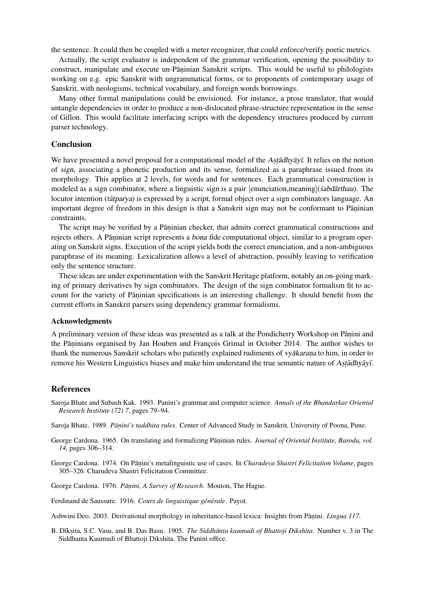the sentence. It could then be coupled with a meter recognizer, that could enforce/verify poetic metrics.

Actually, the script evaluator is independent of the grammar verification, opening the possibility to construct, manipulate and execute un-Pāṇinian Sanskrit scripts. This would be useful to philologists working on e.g. epic Sanskrit with ungrammatical forms, or to proponents of contemporary usage of Sanskrit, with neologisms, technical vocabulary, and foreign words borrowings.

Many other formal manipulations could be envisioned. For instance, a prose translator, that would untangle dependencies in order to produce a non-dislocated phrase-structure representation in the sense of Gillon. This would facilitate interfacing scripts with the dependency structures produced by current parser technology.

# Conclusion

We have presented a novel proposal for a computational model of the Astadhyayi. It relies on the notion of sign, associating a phonetic production and its sense, formalized as a paraphrase issued from its morphology. This applies at 2 levels, for words and for sentences. Each grammatical construction is modeled as a sign combinator, where a linguistic sign is a pair  $[$ enunciation,meaning $]$ (sabd $\bar{a}$ rthau). The locutor intention (tatparya) is expressed by a *script*, formal object over a sign combinators language. An important degree of freedom in this design is that a Sanskrit sign may not be conformant to Pāṇinian constraints.

The script may be verified by a Pāṇinian checker, that admits correct grammatical constructions and rejects others. A Pāṇinian script represents a bona fide computational object, similar to a program operating on Sanskrit signs. Execution of the script yields both the correct enunciation, and a non-ambiguous paraphrase of its meaning. Lexicalization allows a level of abstraction, possibly leaving to verification only the sentence structure.

These ideas are under experimentation with the Sanskrit Heritage platform, notably an on-going marking of primary derivatives by sign combinators. The design of the sign combinator formalism fit to account for the variety of Pāninian specifications is an interesting challenge. It should benefit from the current efforts in Sanskrit parsers using dependency grammar formalisms.

#### Acknowledgments

A preliminary version of these ideas was presented as a talk at the Pondicherry Workshop on Pāṇini and the Pāṇinians organised by Jan Houben and François Grimal in October 2014. The author wishes to thank the numerous Sanskrit scholars who patiently explained rudiments of *vyākarana* to him, in order to remove his Western Linguistics biases and make him understand the true semantic nature of Astadhyayī.

#### **References**

Saroja Bhate and Subash Kak. 1993. Panini's grammar and computer science. *Annals of the Bhandarkar Oriental Research Institute (72) 7*, pages 79–94.

Saroja Bhate. 1989. Pāņini's taddhita rules. Center of Advanced Study in Sanskrit, University of Poona, Pune.

George Cardona. 1965. On translating and formalizing Pāṇinian rules. Journal of Oriental Institute, Baroda, vol. *14*, pages 306–314.

George Cardona. 1974. On Pāṇini's metalinguistic use of cases. In *Charudeva Shastri Felicitation Volume*, pages 305–326. Charudeva Shastri Felicitation Committee.

George Cardona. 1976. Pāņini, A Survey of Research. Mouton, The Hague.

Ferdinand de Saussure. 1916. Cours de linguistique générale. Payot.

Ashwini Deo. 2003. Derivational morphology in inheritance-based lexica: Insights from Pāṇini. *Lingua 117*.

B. Dīksita, S.C. Vasu, and B. Das Basu. 1905. *The Siddhānta kaumudi of Bhattoji Dikshita*. Number v. 3 in The Siddhanta Kaumudi of Bhattoji Dikshita. The Panini office.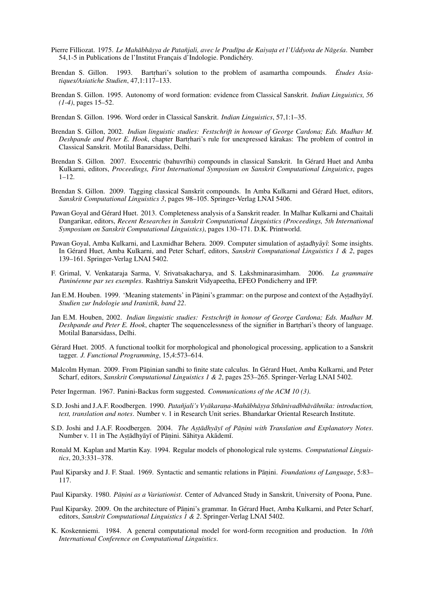- Pierre Filliozat. 1975. *Le Mahābhāṣya de Patañjali, avec le Pradīpa de Kaiyaṭa et l'Uddyota de Nāgeśa*. Number 54,1-5 in Publications de l'Institut Français d'Indologie. Pondichéry.
- Brendan S. Gillon. 1993. Bartrhari's solution to the problem of asamartha compounds. *Études Asiatiques/Asiatiche Studien*, 47,1:117–133.
- Brendan S. Gillon. 1995. Autonomy of word formation: evidence from Classical Sanskrit. *Indian Linguistics, 56 (1-4)*, pages 15–52.
- Brendan S. Gillon. 1996. Word order in Classical Sanskrit. *Indian Linguistics*, 57,1:1–35.
- Brendan S. Gillon, 2002. *Indian linguistic studies: Festschrift in honour of George Cardona; Eds. Madhav M. Deshpande and Peter E. Hook*, chapter Bartrhari's rule for unexpressed karakas: The problem of control in Classical Sanskrit. Motilal Banarsidass, Delhi.
- Brendan S. Gillon. 2007. Exocentric (bahuvrīhi) compounds in classical Sanskrit. In Gérard Huet and Amba Kulkarni, editors, *Proceedings, First International Symposium on Sanskrit Computational Linguistics*, pages 1–12.
- Brendan S. Gillon. 2009. Tagging classical Sanskrit compounds. In Amba Kulkarni and Gerard Huet, editors, ´ *Sanskrit Computational Linguistics 3*, pages 98–105. Springer-Verlag LNAI 5406.
- Pawan Goyal and Gerard Huet. 2013. Completeness analysis of a Sanskrit reader. In Malhar Kulkarni and Chaitali ´ Dangarikar, editors, *Recent Researches in Sanskrit Computational Linguistics (Proceedings, 5th International Symposium on Sanskrit Computational Linguistics)*, pages 130–171. D.K. Printworld.
- Pawan Goyal, Amba Kulkarni, and Laxmidhar Behera. 2009. Computer simulation of astadhyayī: Some insights. In Gérard Huet, Amba Kulkarni, and Peter Scharf, editors, Sanskrit Computational Linguistics 1 & 2, pages 139–161. Springer-Verlag LNAI 5402.
- F. Grimal, V. Venkataraja Sarma, V. Srivatsakacharya, and S. Lakshminarasimham. 2006. *La grammaire Paninéenne par ses exemples*. Rashtriya Sanskrit Vidyapeetha, EFEO Pondicherry and IFP.
- Jan E.M. Houben. 1999. 'Meaning statements' in Pāṇini's grammar: on the purpose and context of the Astadhyāyī. *Studien zur Indologie und Iranistik, band 22*.
- Jan E.M. Houben, 2002. *Indian linguistic studies: Festschrift in honour of George Cardona; Eds. Madhav M. Deshpande and Peter E. Hook*, chapter The sequencelessness of the signifier in Bartrhari's theory of language. Motilal Banarsidass, Delhi.
- Gérard Huet. 2005. A functional toolkit for morphological and phonological processing, application to a Sanskrit tagger. *J. Functional Programming*, 15,4:573–614.
- Malcolm Hyman. 2009. From Pāṇinian sandhi to finite state calculus. In Gérard Huet, Amba Kulkarni, and Peter Scharf, editors, *Sanskrit Computational Linguistics 1 & 2*, pages 253–265. Springer-Verlag LNAI 5402.
- Peter Ingerman. 1967. Panini-Backus form suggested. *Communications of the ACM 10 (3)*.
- S.D. Joshi and J.A.F. Roodbergen. 1990. *Patanjali's Vy ˜ akaran ¯ . a-Mahabh ¯ as¯. ya Sthanivadbh ¯ av¯ ahnika: introduction, ¯ text, translation and notes*. Number v. 1 in Research Unit series. Bhandarkar Oriental Research Institute.
- S.D. Joshi and J.A.F. Roodbergen. 2004. *The Astadhyayī of Panini with Translation and Explanatory Notes*. Number v. 11 in The Aṣṭādhyāyī of Pāṇini. Sāhitya Akādemī.
- Ronald M. Kaplan and Martin Kay. 1994. Regular models of phonological rule systems. *Computational Linguistics*, 20,3:331–378.
- Paul Kiparsky and J. F. Staal. 1969. Syntactic and semantic relations in Pāṇini. *Foundations of Language*, 5:83– 117.
- Paul Kiparsky. 1980. Pāņini as a Variationist. Center of Advanced Study in Sanskrit, University of Poona, Pune.
- Paul Kiparsky. 2009. On the architecture of Pāṇini's grammar. In Gérard Huet, Amba Kulkarni, and Peter Scharf, editors, *Sanskrit Computational Linguistics 1 & 2*. Springer-Verlag LNAI 5402.
- K. Koskenniemi. 1984. A general computational model for word-form recognition and production. In *10th International Conference on Computational Linguistics*.